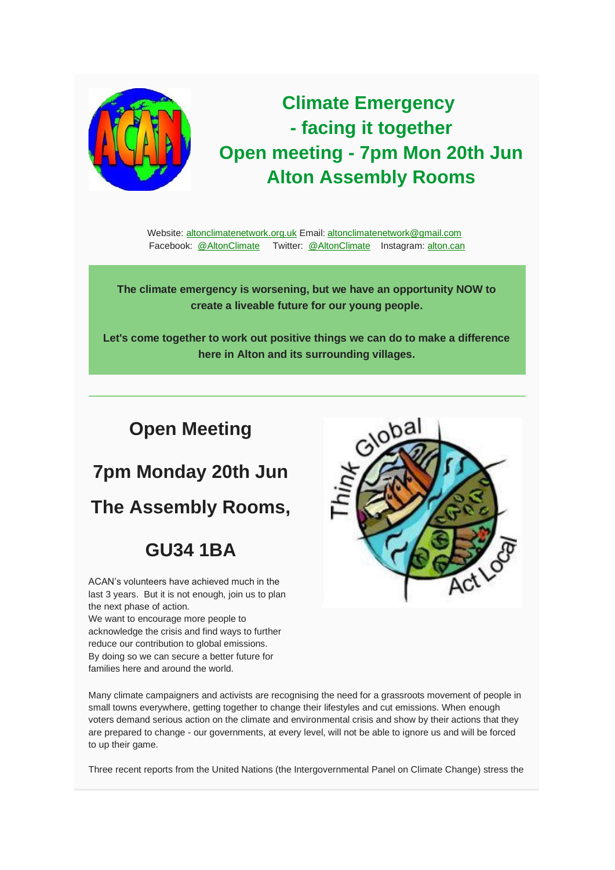

## **Climate Emergency - facing it together Open meeting - 7pm Mon 20th Jun Alton Assembly Rooms**

Website: [altonclimatenetwork.org.uk](https://altonclimatenetwork.org.uk/) Email: [altonclimatenetwork@gmail.com](mailto:altonclimatenetwork@gmail.com) Facebook: [@AltonClimate](https://www.facebook.com/AltonClimate/) Twitter: [@AltonClimate](https://twitter.com/AltonClimate) Instagram: [alton.can](https://www.instagram.com/alton.can/)

**The climate emergency is worsening, but we have an opportunity NOW to create a liveable future for our young people.**

**Let's come together to work out positive things we can do to make a difference here in Alton and its surrounding villages.**

#### **Open Meeting**

# **7pm Monday 20th Jun**

**The Assembly Rooms,**

#### **GU34 1BA**

ACAN's volunteers have achieved much in the last 3 years. But it is not enough, join us to plan the next phase of action.

We want to encourage more people to acknowledge the crisis and find ways to further reduce our contribution to global emissions. By doing so we can secure a better future for families here and around the world.



Many climate campaigners and activists are recognising the need for a grassroots movement of people in small towns everywhere, getting together to change their lifestyles and cut emissions. When enough voters demand serious action on the climate and environmental crisis and show by their actions that they are prepared to change - our governments, at every level, will not be able to ignore us and will be forced to up their game.

Three recent reports from the United Nations (the Intergovernmental Panel on Climate Change) stress the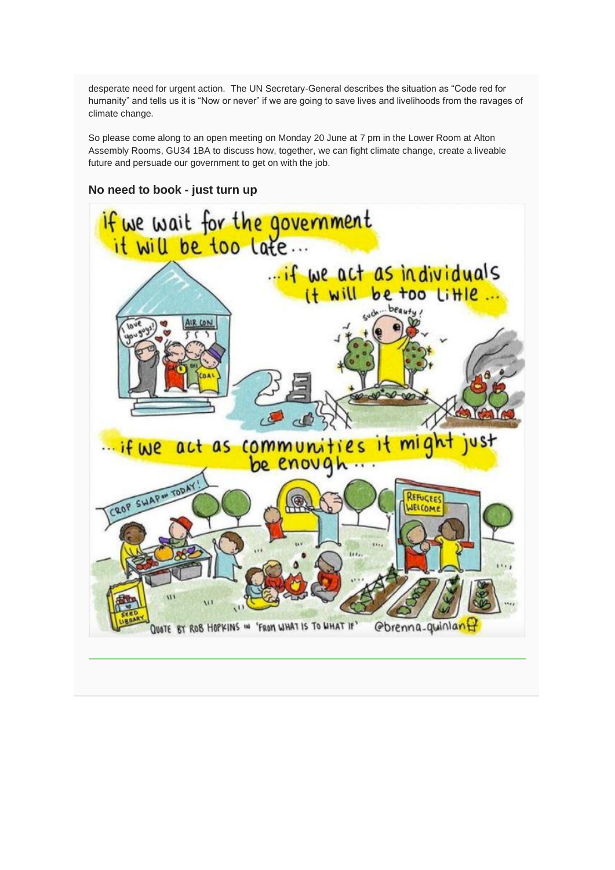desperate need for urgent action. The UN Secretary-General describes the situation as "Code red for humanity" and tells us it is "Now or never" if we are going to save lives and livelihoods from the ravages of climate change.

So please come along to an open meeting on Monday 20 June at 7 pm in the Lower Room at Alton Assembly Rooms, GU34 1BA to discuss how, together, we can fight climate change, create a liveable future and persuade our government to get on with the job.

#### **No need to book - just turn up**

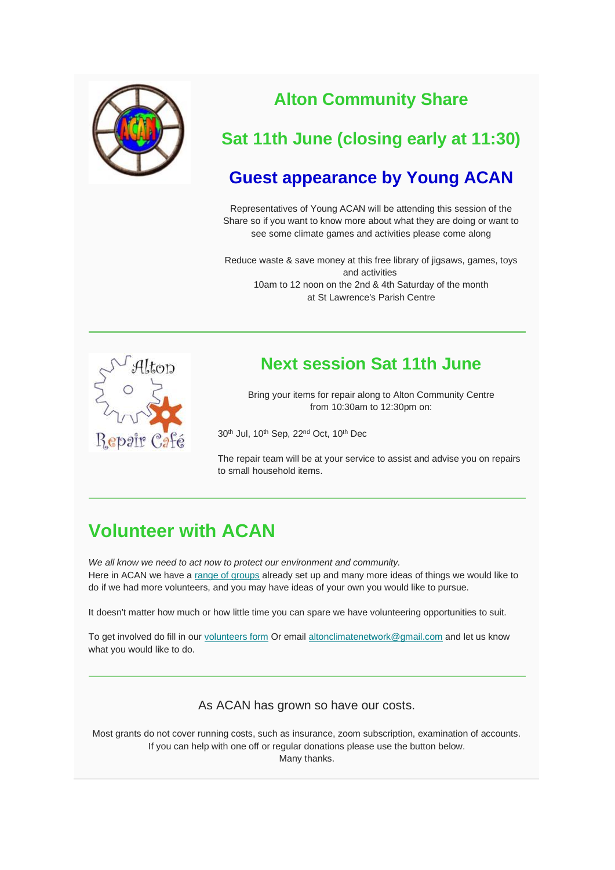

#### **Alton Community Share**

#### **Sat 11th June (closing early at 11:30)**

#### **Guest appearance by Young ACAN**

Representatives of Young ACAN will be attending this session of the Share so if you want to know more about what they are doing or want to see some climate games and activities please come along

Reduce waste & save money at this free library of jigsaws, games, toys and activities 10am to 12 noon on the 2nd & 4th Saturday of the month at St Lawrence's Parish Centre



#### **Next session Sat 11th June**

Bring your items for repair along to Alton Community Centre from 10:30am to 12:30pm on:

30<sup>th</sup> Jul, 10<sup>th</sup> Sep, 22<sup>nd</sup> Oct, 10<sup>th</sup> Dec

The repair team will be at your service to assist and advise you on repairs to small household items.

### **Volunteer with ACAN**

*We all know we need to act now to protect our environment and community.* Here in ACAN we have a [range of groups](https://altonclimatenetwork.org.uk/the-acan-network/) already set up and many more ideas of things we would like to do if we had more volunteers, and you may have ideas of your own you would like to pursue.

It doesn't matter how much or how little time you can spare we have volunteering opportunities to suit.

To get involved do fill in our [volunteers form](https://docs.google.com/forms/d/e/1FAIpQLSfAMZxaeRVdRiiDJk2XoEt7mYYlLyht20zEat-AjT90Q_2oLw/viewform) Or email [altonclimatenetwork@gmail.com](mailto:altonclimatenetwork@gmail.com?subject=Volunteering) and let us know what you would like to do.

As ACAN has grown so have our costs.

Most grants do not cover running costs, such as insurance, zoom subscription, examination of accounts. If you can help with one off or regular donations please use the button below. Many thanks.